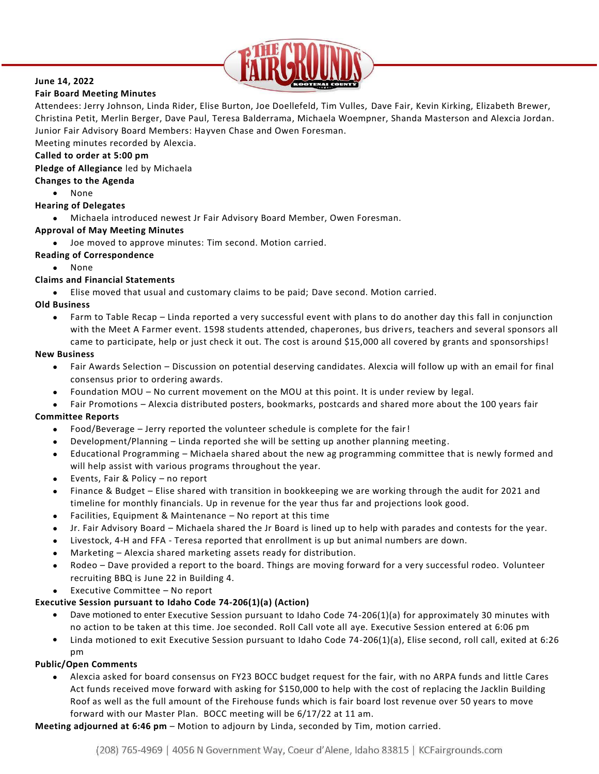

# **June 14, 2022**

**Fair Board Meeting Minutes**

Attendees: Jerry Johnson, Linda Rider, Elise Burton, Joe Doellefeld, Tim Vulles, Dave Fair, Kevin Kirking, Elizabeth Brewer, Christina Petit, Merlin Berger, Dave Paul, Teresa Balderrama, Michaela Woempner, Shanda Masterson and Alexcia Jordan. Junior Fair Advisory Board Members: Hayven Chase and Owen Foresman.

Meeting minutes recorded by Alexcia.

#### **Called to order at 5:00 pm**

**Pledge of Allegiance** led by Michaela

## **Changes to the Agenda**

- None
- **Hearing of Delegates**
	- Michaela introduced newest Jr Fair Advisory Board Member, Owen Foresman.

## **Approval of May Meeting Minutes**

- Joe moved to approve minutes: Tim second. Motion carried.
- **Reading of Correspondence** 
	- None

## **Claims and Financial Statements**

• Elise moved that usual and customary claims to be paid; Dave second. Motion carried.

### **Old Business**

• Farm to Table Recap – Linda reported a very successful event with plans to do another day this fall in conjunction with the Meet A Farmer event. 1598 students attended, chaperones, bus drivers, teachers and several sponsors all came to participate, help or just check it out. The cost is around \$15,000 all covered by grants and sponsorships!

### **New Business**

- Fair Awards Selection Discussion on potential deserving candidates. Alexcia will follow up with an email for final consensus prior to ordering awards.
- Foundation MOU No current movement on the MOU at this point. It is under review by legal.
- Fair Promotions Alexcia distributed posters, bookmarks, postcards and shared more about the 100 years fair

### **Committee Reports**

- Food/Beverage Jerry reported the volunteer schedule is complete for the fair!
- Development/Planning Linda reported she will be setting up another planning meeting.
- Educational Programming Michaela shared about the new ag programming committee that is newly formed and will help assist with various programs throughout the year.
- Events, Fair & Policy no report
- Finance & Budget Elise shared with transition in bookkeeping we are working through the audit for 2021 and timeline for monthly financials. Up in revenue for the year thus far and projections look good.
- Facilities, Equipment & Maintenance No report at this time
- Jr. Fair Advisory Board Michaela shared the Jr Board is lined up to help with parades and contests for the year.
- Livestock, 4-H and FFA Teresa reported that enrollment is up but animal numbers are down.
- Marketing Alexcia shared marketing assets ready for distribution.
- Rodeo Dave provided a report to the board. Things are moving forward for a very successful rodeo. Volunteer recruiting BBQ is June 22 in Building 4.
- Executive Committee No report

## **Executive Session pursuant to Idaho Code 74-206(1)(a) (Action)**

- Dave motioned to enter Executive Session pursuant to Idaho Code 74-206(1)(a) for approximately 30 minutes with no action to be taken at this time. Joe seconded. Roll Call vote all aye. Executive Session entered at 6:06 pm
- Linda motioned to exit Executive Session pursuant to Idaho Code 74-206(1)(a), Elise second, roll call, exited at 6:26 pm

### **Public/Open Comments**

• Alexcia asked for board consensus on FY23 BOCC budget request for the fair, with no ARPA funds and little Cares Act funds received move forward with asking for \$150,000 to help with the cost of replacing the Jacklin Building Roof as well as the full amount of the Firehouse funds which is fair board lost revenue over 50 years to move forward with our Master Plan. BOCC meeting will be 6/17/22 at 11 am.

**Meeting adjourned at 6:46 pm** – Motion to adjourn by Linda, seconded by Tim, motion carried.